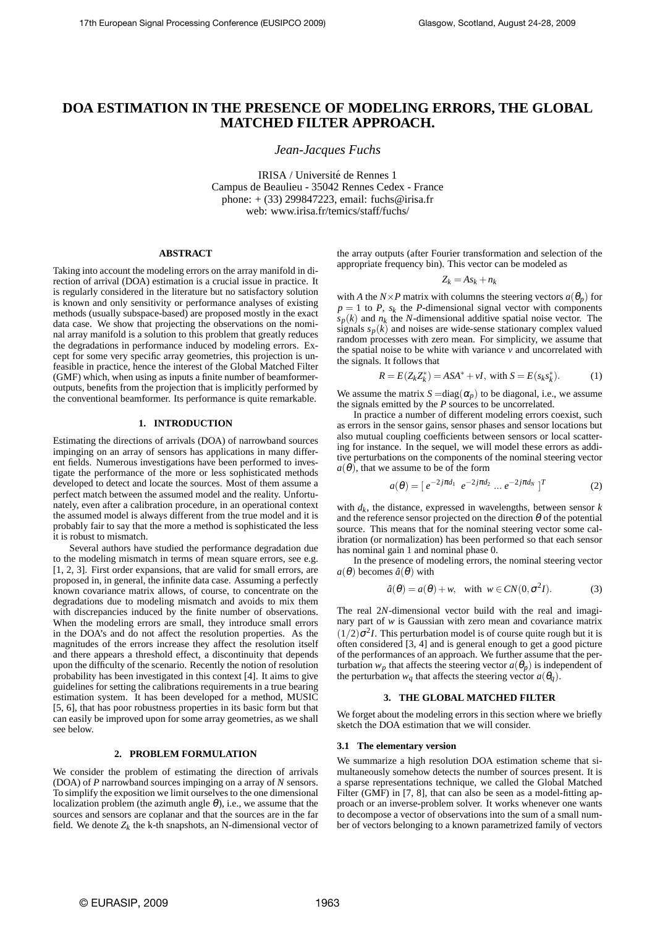# **DOA ESTIMATION IN THE PRESENCE OF MODELING ERRORS, THE GLOBAL MATCHED FILTER APPROACH.**

*Jean-Jacques Fuchs*

IRISA / Université de Rennes 1 Campus de Beaulieu - 35042 Rennes Cedex - France phone: + (33) 299847223, email: fuchs@irisa.fr web: www.irisa.fr/temics/staff/fuchs/

# **ABSTRACT**

Taking into account the modeling errors on the array manifold in direction of arrival (DOA) estimation is a crucial issue in practice. It is regularly considered in the literature but no satisfactory solution is known and only sensitivity or performance analyses of existing methods (usually subspace-based) are proposed mostly in the exact data case. We show that projecting the observations on the nominal array manifold is a solution to this problem that greatly reduces the degradations in performance induced by modeling errors. Except for some very specific array geometries, this projection is unfeasible in practice, hence the interest of the Global Matched Filter (GMF) which, when using as inputs a finite number of beamformeroutputs, benefits from the projection that is implicitly performed by the conventional beamformer. Its performance is quite remarkable.

# **1. INTRODUCTION**

Estimating the directions of arrivals (DOA) of narrowband sources impinging on an array of sensors has applications in many different fields. Numerous investigations have been performed to investigate the performance of the more or less sophisticated methods developed to detect and locate the sources. Most of them assume a perfect match between the assumed model and the reality. Unfortunately, even after a calibration procedure, in an operational context the assumed model is always different from the true model and it is probably fair to say that the more a method is sophisticated the less it is robust to mismatch.

Several authors have studied the performance degradation due to the modeling mismatch in terms of mean square errors, see e.g. [1, 2, 3]. First order expansions, that are valid for small errors, are proposed in, in general, the infinite data case. Assuming a perfectly known covariance matrix allows, of course, to concentrate on the degradations due to modeling mismatch and avoids to mix them with discrepancies induced by the finite number of observations. When the modeling errors are small, they introduce small errors in the DOA's and do not affect the resolution properties. As the magnitudes of the errors increase they affect the resolution itself and there appears a threshold effect, a discontinuity that depends upon the difficulty of the scenario. Recently the notion of resolution probability has been investigated in this context [4]. It aims to give guidelines for setting the calibrations requirements in a true bearing estimation system. It has been developed for a method, MUSIC [5, 6], that has poor robustness properties in its basic form but that can easily be improved upon for some array geometries, as we shall see below.

# **2. PROBLEM FORMULATION**

We consider the problem of estimating the direction of arrivals (DOA) of *P* narrowband sources impinging on a array of *N* sensors. To simplify the exposition we limit ourselves to the one dimensional localization problem (the azimuth angle  $\theta$ ), i.e., we assume that the sources and sensors are coplanar and that the sources are in the far field. We denote  $Z_k$  the k-th snapshots, an N-dimensional vector of

the array outputs (after Fourier transformation and selection of the appropriate frequency bin). This vector can be modeled as

$$
Z_k = As_k + n_k
$$

with *A* the *N*×*P* matrix with columns the steering vectors  $a(\theta_p)$  for  $p = 1$  to *P*,  $s_k$  the *P*-dimensional signal vector with components  $s_p(k)$  and  $n_k$  the *N*-dimensional additive spatial noise vector. The signals  $s_p(k)$  and noises are wide-sense stationary complex valued random processes with zero mean. For simplicity, we assume that the spatial noise to be white with variance  $\nu$  and uncorrelated with the signals. It follows that

$$
R = E(Z_k Z_k^*) = ASA^* + vI, \text{ with } S = E(s_k s_k^*).
$$
 (1)

We assume the matrix  $S = diag(\alpha_p)$  to be diagonal, i.e., we assume the signals emitted by the *P* sources to be uncorrelated.

In practice a number of different modeling errors coexist, such as errors in the sensor gains, sensor phases and sensor locations but also mutual coupling coefficients between sensors or local scattering for instance. In the sequel, we will model these errors as additive perturbations on the components of the nominal steering vector  $a(\theta)$ , that we assume to be of the form

$$
a(\theta) = [e^{-2j\pi d_1} e^{-2j\pi d_2} \dots e^{-2j\pi d_N}]^T
$$
 (2)

with *d<sup>k</sup>* , the distance, expressed in wavelengths, between sensor *k* and the reference sensor projected on the direction  $\theta$  of the potential source. This means that for the nominal steering vector some calibration (or normalization) has been performed so that each sensor has nominal gain 1 and nominal phase 0.

In the presence of modeling errors, the nominal steering vector  $a(\theta)$  becomes  $\hat{a}(\theta)$  with

$$
\hat{a}(\theta) = a(\theta) + w, \text{ with } w \in CN(0, \sigma^2 I). \tag{3}
$$

The real 2*N*-dimensional vector build with the real and imaginary part of *w* is Gaussian with zero mean and covariance matrix  $(1/2)\sigma^2 I$ . This perturbation model is of course quite rough but it is often considered [3, 4] and is general enough to get a good picture of the performances of an approach. We further assume that the perturbation  $w_p$  that affects the steering vector  $a(\theta_p)$  is independent of the perturbation  $w_q$  that affects the steering vector  $a(\theta_q)$ .

## **3. THE GLOBAL MATCHED FILTER**

We forget about the modeling errors in this section where we briefly sketch the DOA estimation that we will consider.

#### **3.1 The elementary version**

We summarize a high resolution DOA estimation scheme that simultaneously somehow detects the number of sources present. It is a sparse representations technique, we called the Global Matched Filter (GMF) in [7, 8], that can also be seen as a model-fitting approach or an inverse-problem solver. It works whenever one wants to decompose a vector of observations into the sum of a small number of vectors belonging to a known parametrized family of vectors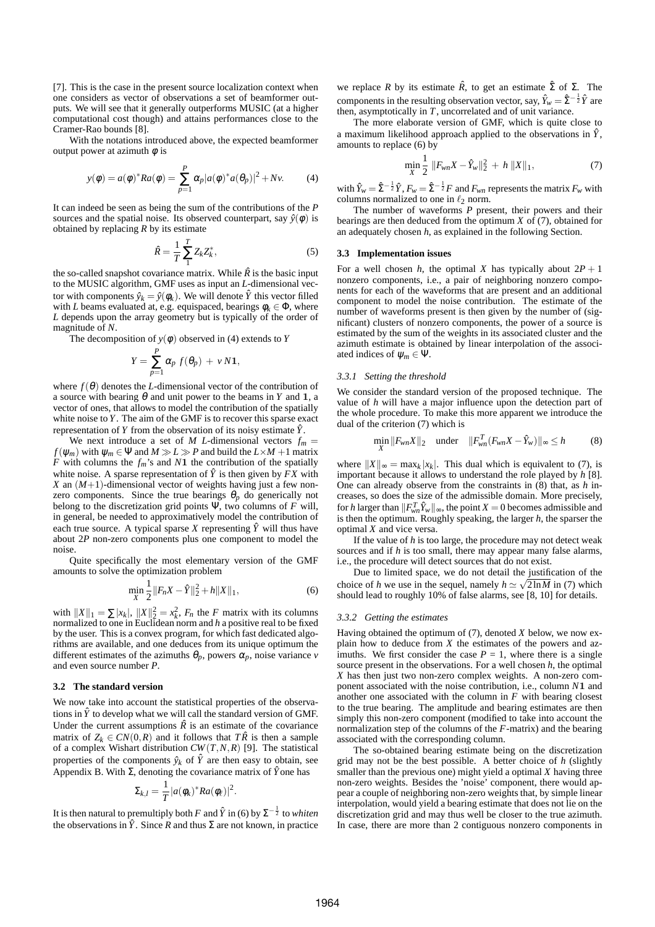[7]. This is the case in the present source localization context when one considers as vector of observations a set of beamformer outputs. We will see that it generally outperforms MUSIC (at a higher computational cost though) and attains performances close to the Cramer-Rao bounds [8].

With the notations introduced above, the expected beamformer output power at azimuth  $\phi$  is

$$
y(\phi) = a(\phi)^* Ra(\phi) = \sum_{p=1}^P \alpha_p |a(\phi)^* a(\theta_p)|^2 + Nv.
$$
 (4)

It can indeed be seen as being the sum of the contributions of the *P* sources and the spatial noise. Its observed counterpart, say  $\hat{y}(\phi)$  is obtained by replacing *R* by its estimate

$$
\hat{R} = \frac{1}{T} \sum_{1}^{T} Z_k Z_k^*,\tag{5}
$$

the so-called snapshot covariance matrix. While  $\hat{R}$  is the basic input to the MUSIC algorithm, GMF uses as input an *L*-dimensional vector with components  $\hat{y}_k = \hat{y}(\phi_k)$ . We will denote  $\hat{Y}$  this vector filled with *L* beams evaluated at, e.g. equispaced, bearings  $\phi_k \in \Phi$ , where *L* depends upon the array geometry but is typically of the order of magnitude of *N*.

The decomposition of  $y(\phi)$  observed in (4) extends to *Y* 

$$
Y = \sum_{p=1}^{P} \alpha_p f(\theta_p) + v N \mathbf{1},
$$

where  $f(\theta)$  denotes the *L*-dimensional vector of the contribution of a source with bearing  $\theta$  and unit power to the beams in *Y* and **1**, a vector of ones, that allows to model the contribution of the spatially white noise to *Y*. The aim of the GMF is to recover this sparse exact representation of *Y* from the observation of its noisy estimate *Y*ˆ.

We next introduce a set of *M L*-dimensional vectors  $f_m =$  $f(\psi_m)$  with  $\psi_m \in \Psi$  and  $M \gg L \gg P$  and build the  $L \times M + 1$  matrix *F* with columns the *fm*'s and *N*1 the contribution of the spatially white noise. A sparse representation of  $\hat{Y}$  is then given by  $FX$  with *X* an  $(M+1)$ -dimensional vector of weights having just a few nonzero components. Since the true bearings  $\theta_p$  do generically not belong to the discretization grid points Ψ, two columns of *F* will, in general, be needed to approximatively model the contribution of each true source. A typical sparse *X* representing  $\hat{Y}$  will thus have about 2*P* non-zero components plus one component to model the noise.

Quite specifically the most elementary version of the GMF amounts to solve the optimization problem

$$
\min_{X} \frac{1}{2} \|F_n X - \hat{Y}\|_2^2 + h \|X\|_1,\tag{6}
$$

with  $||X||_1 = \sum |x_k|$ ,  $||X||_2^2 = x_k^2$ ,  $F_n$  the *F* matrix with its columns normalized to one in Euclidean norm and *h* a positive real to be fixed by the user. This is a convex program, for which fast dedicated algorithms are available, and one deduces from its unique optimum the different estimates of the azimuths  $\theta_p$ , powers  $\alpha_p$ , noise variance *v* and even source number *P*.

# **3.2 The standard version**

We now take into account the statistical properties of the observations in  $\hat{Y}$  to develop what we will call the standard version of GMF. Under the current assumptions  $\hat{R}$  is an estimate of the covariance matrix of  $Z_k \in CN(0,R)$  and it follows that  $T\hat{R}$  is then a sample of a complex Wishart distribution *CW*(*T*,*N*,*R*) [9]. The statistical properties of the components  $\hat{y}_k$  of  $\hat{Y}$  are then easy to obtain, see Appendix B. With  $\Sigma$ , denoting the covariance matrix of  $\hat{Y}$  one has

$$
\Sigma_{k,l} = \frac{1}{T} |a(\phi_k)^* Ra(\phi_{\ell})|^2.
$$

It is then natural to premultiply both *F* and  $\hat{Y}$  in (6) by  $\Sigma^{-\frac{1}{2}}$  to *whiten* the observations in  $\hat{Y}$ . Since *R* and thus  $\Sigma$  are not known, in practice we replace *R* by its estimate  $\hat{R}$ , to get an estimate  $\hat{\Sigma}$  of  $\Sigma$ . The components in the resulting observation vector, say,  $\hat{Y}_w = \hat{\Sigma}^{-\frac{1}{2}} \hat{Y}$  are then, asymptotically in *T*, uncorrelated and of unit variance.

The more elaborate version of GMF, which is quite close to a maximum likelihood approach applied to the observations in  $\hat{Y}$ , amounts to replace (6) by

$$
\min_{X} \frac{1}{2} \|F_{wn}X - \hat{Y}_w\|_2^2 + h \|X\|_1, \tag{7}
$$

with  $\hat{Y}_w = \hat{\Sigma}^{-\frac{1}{2}} \hat{Y}$ ,  $F_w = \hat{\Sigma}^{-\frac{1}{2}} F$  and  $F_{wn}$  represents the matrix  $F_w$  with columns normalized to one in  $\ell_2$  norm.

The number of waveforms *P* present, their powers and their bearings are then deduced from the optimum *X* of (7), obtained for an adequately chosen *h*, as explained in the following Section.

## **3.3 Implementation issues**

For a well chosen *h*, the optimal *X* has typically about  $2P + 1$ nonzero components, i.e., a pair of neighboring nonzero components for each of the waveforms that are present and an additional component to model the noise contribution. The estimate of the number of waveforms present is then given by the number of (significant) clusters of nonzero components, the power of a source is estimated by the sum of the weights in its associated cluster and the azimuth estimate is obtained by linear interpolation of the associated indices of  $\psi_m \in \Psi$ .

#### *3.3.1 Setting the threshold*

We consider the standard version of the proposed technique. The value of *h* will have a major influence upon the detection part of the whole procedure. To make this more apparent we introduce the dual of the criterion (7) which is

$$
\min_{X} ||F_{wn}X||_2 \quad \text{under} \quad ||F_{wn}^T(F_{wn}X - \hat{Y}_w)||_{\infty} \le h \tag{8}
$$

where  $||X||_{\infty} = \max_{k} |x_k|$ . This dual which is equivalent to (7), is important because it allows to understand the role played by *h* [8]. One can already observe from the constraints in (8) that, as *h* increases, so does the size of the admissible domain. More precisely, for *h* larger than  $||F_{wn}^T \hat{Y}_w||_{\infty}$ , the point  $X = 0$  becomes admissible and is then the optimum. Roughly speaking, the larger *h*, the sparser the optimal *X* and vice versa.

If the value of *h* is too large, the procedure may not detect weak sources and if *h* is too small, there may appear many false alarms, i.e., the procedure will detect sources that do not exist.

Due to limited space, we do not detail the justification of the choice of *h* we use in the sequel, namely  $h \simeq \sqrt{2 \ln M}$  in (7) which should lead to roughly 10% of false alarms, see [8, 10] for details.

# *3.3.2 Getting the estimates*

Having obtained the optimum of (7), denoted *X* below, we now explain how to deduce from *X* the estimates of the powers and azimuths. We first consider the case  $P = 1$ , where there is a single source present in the observations. For a well chosen *h*, the optimal *X* has then just two non-zero complex weights. A non-zero component associated with the noise contribution, i.e., column *N*1 and another one associated with the column in  $F$  with bearing closest to the true bearing. The amplitude and bearing estimates are then simply this non-zero component (modified to take into account the normalization step of the columns of the *F*-matrix) and the bearing associated with the corresponding column.

The so-obtained bearing estimate being on the discretization grid may not be the best possible. A better choice of *h* (slightly smaller than the previous one) might yield a optimal *X* having three non-zero weights. Besides the 'noise' component, there would appear a couple of neighboring non-zero weights that, by simple linear interpolation, would yield a bearing estimate that does not lie on the discretization grid and may thus well be closer to the true azimuth. In case, there are more than 2 contiguous nonzero components in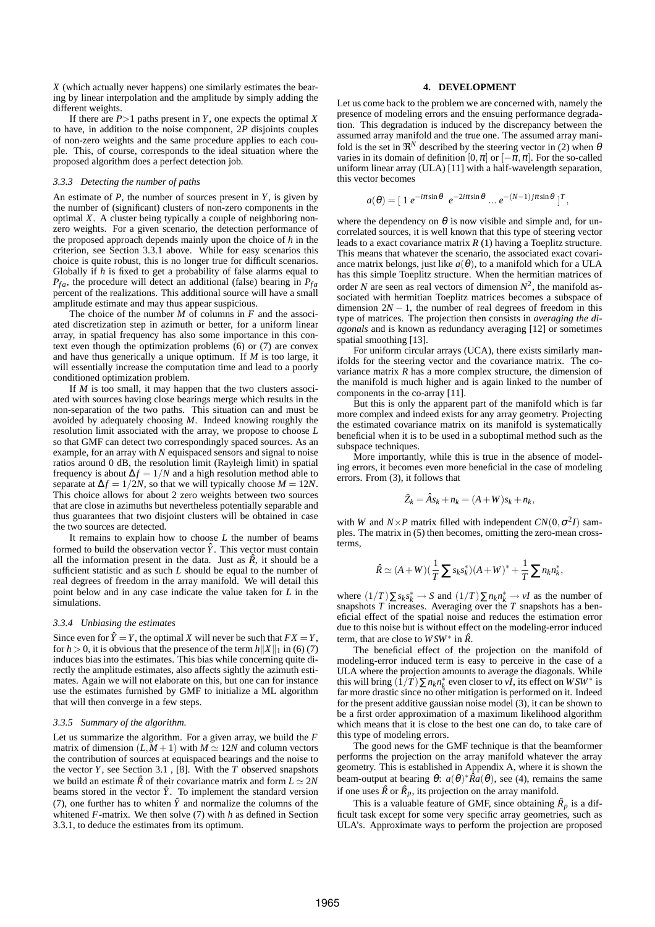*X* (which actually never happens) one similarly estimates the bearing by linear interpolation and the amplitude by simply adding the different weights.

If there are  $P > 1$  paths present in *Y*, one expects the optimal *X* to have, in addition to the noise component, 2*P* disjoints couples of non-zero weights and the same procedure applies to each couple. This, of course, corresponds to the ideal situation where the proposed algorithm does a perfect detection job.

#### *3.3.3 Detecting the number of paths*

An estimate of  $P$ , the number of sources present in  $Y$ , is given by the number of (significant) clusters of non-zero components in the optimal *X*. A cluster being typically a couple of neighboring nonzero weights. For a given scenario, the detection performance of the proposed approach depends mainly upon the choice of *h* in the criterion, see Section 3.3.1 above. While for easy scenarios this choice is quite robust, this is no longer true for difficult scenarios. Globally if *h* is fixed to get a probability of false alarms equal to  $P_{fa}$ , the procedure will detect an additional (false) bearing in  $P_{fa}$ percent of the realizations. This additional source will have a small amplitude estimate and may thus appear suspicious.

The choice of the number *M* of columns in *F* and the associated discretization step in azimuth or better, for a uniform linear array, in spatial frequency has also some importance in this context even though the optimization problems (6) or (7) are convex and have thus generically a unique optimum. If *M* is too large, it will essentially increase the computation time and lead to a poorly conditioned optimization problem.

If *M* is too small, it may happen that the two clusters associated with sources having close bearings merge which results in the non-separation of the two paths. This situation can and must be avoided by adequately choosing *M*. Indeed knowing roughly the resolution limit associated with the array, we propose to choose *L* so that GMF can detect two correspondingly spaced sources. As an example, for an array with *N* equispaced sensors and signal to noise ratios around 0 dB, the resolution limit (Rayleigh limit) in spatial frequency is about  $\Delta f = 1/N$  and a high resolution method able to separate at  $\Delta f = 1/2N$ , so that we will typically choose  $M = 12N$ . This choice allows for about 2 zero weights between two sources that are close in azimuths but nevertheless potentially separable and thus guarantees that two disjoint clusters will be obtained in case the two sources are detected.

It remains to explain how to choose *L* the number of beams formed to build the observation vector  $\hat{Y}$ . This vector must contain all the information present in the data. Just as  $\hat{R}$ , it should be a sufficient statistic and as such *L* should be equal to the number of real degrees of freedom in the array manifold. We will detail this point below and in any case indicate the value taken for *L* in the simulations.

### *3.3.4 Unbiasing the estimates*

Since even for  $\hat{Y} = Y$ , the optimal *X* will never be such that  $FX = Y$ , for  $h > 0$ , it is obvious that the presence of the term  $h||X||_1$  in (6) (7) induces bias into the estimates. This bias while concerning quite directly the amplitude estimates, also affects sightly the azimuth estimates. Again we will not elaborate on this, but one can for instance use the estimates furnished by GMF to initialize a ML algorithm that will then converge in a few steps.

### *3.3.5 Summary of the algorithm.*

Let us summarize the algorithm. For a given array, we build the *F* matrix of dimension  $(L, M + 1)$  with  $M \simeq 12N$  and column vectors the contribution of sources at equispaced bearings and the noise to the vector *Y*, see Section 3.1 , [8]. With the *T* observed snapshots we build an estimate  $\hat{R}$  of their covariance matrix and form  $L \simeq 2N$ beams stored in the vector  $\hat{Y}$ . To implement the standard version (7), one further has to whiten  $\hat{Y}$  and normalize the columns of the whitened *F*-matrix. We then solve (7) with *h* as defined in Section 3.3.1, to deduce the estimates from its optimum.

## **4. DEVELOPMENT**

Let us come back to the problem we are concerned with, namely the presence of modeling errors and the ensuing performance degradation. This degradation is induced by the discrepancy between the assumed array manifold and the true one. The assumed array manifold is the set in  $\mathfrak{R}^N$  described by the steering vector in (2) when  $\theta$ varies in its domain of definition  $[0, \pi]$  or  $[-\pi, \pi]$ . For the so-called uniform linear array (ULA) [11] with a half-wavelength separation, this vector becomes

$$
a(\theta) = [1 e^{-i\pi \sin \theta} e^{-2i\pi \sin \theta} ... e^{-(N-1)j\pi \sin \theta}]^T,
$$

where the dependency on  $\theta$  is now visible and simple and, for uncorrelated sources, it is well known that this type of steering vector leads to a exact covariance matrix *R* (1) having a Toeplitz structure. This means that whatever the scenario, the associated exact covariance matrix belongs, just like  $a(\theta)$ , to a manifold which for a ULA has this simple Toeplitz structure. When the hermitian matrices of order *N* are seen as real vectors of dimension  $N^2$ , the manifold associated with hermitian Toeplitz matrices becomes a subspace of dimension  $2N - 1$ , the number of real degrees of freedom in this type of matrices. The projection then consists in *averaging the diagonals* and is known as redundancy averaging [12] or sometimes spatial smoothing [13].

For uniform circular arrays (UCA), there exists similarly manifolds for the steering vector and the covariance matrix. The covariance matrix  $R$  has a more complex structure, the dimension of the manifold is much higher and is again linked to the number of components in the co-array [11].

But this is only the apparent part of the manifold which is far more complex and indeed exists for any array geometry. Projecting the estimated covariance matrix on its manifold is systematically beneficial when it is to be used in a suboptimal method such as the subspace techniques.

More importantly, while this is true in the absence of modeling errors, it becomes even more beneficial in the case of modeling errors. From (3), it follows that

$$
\hat{Z}_k = \hat{A} s_k + n_k = (A+W)s_k + n_k,
$$

with *W* and  $N \times P$  matrix filled with independent  $CN(0, \sigma^2 I)$  samples. The matrix in (5) then becomes, omitting the zero-mean crossterms,

$$
\hat{R} \simeq (A+W)(\frac{1}{T}\sum s_k s_k^*)(A+W)^* + \frac{1}{T}\sum n_k n_k^*,
$$

where  $(1/T) \Sigma s_k s_k^* \to S$  and  $(1/T) \Sigma n_k n_k^* \to vI$  as the number of snapshots *T* increases. Averaging over the *T* snapshots has a beneficial effect of the spatial noise and reduces the estimation error due to this noise but is without effect on the modeling-error induced term, that are close to *WSW*∗ in *R*ˆ.

The beneficial effect of the projection on the manifold of modeling-error induced term is easy to perceive in the case of a ULA where the projection amounts to average the diagonals. While this will bring  $(1/T) \sum n_k n_k^*$  even closer to *vI*, its effect on *WSW*<sup>∗</sup> is far more drastic since no other mitigation is performed on it. Indeed for the present additive gaussian noise model (3), it can be shown to be a first order approximation of a maximum likelihood algorithm which means that it is close to the best one can do, to take care of this type of modeling errors.

The good news for the GMF technique is that the beamformer performs the projection on the array manifold whatever the array geometry. This is established in Appendix A, where it is shown the beam-output at bearing  $\theta$ :  $a(\theta)^*$  $\overline{R}a(\theta)$ , see (4), remains the same if one uses  $\hat{R}$  or  $\hat{R}_p$ , its projection on the array manifold.

This is a valuable feature of GMF, since obtaining  $\hat{R}_p$  is a difficult task except for some very specific array geometries, such as ULA's. Approximate ways to perform the projection are proposed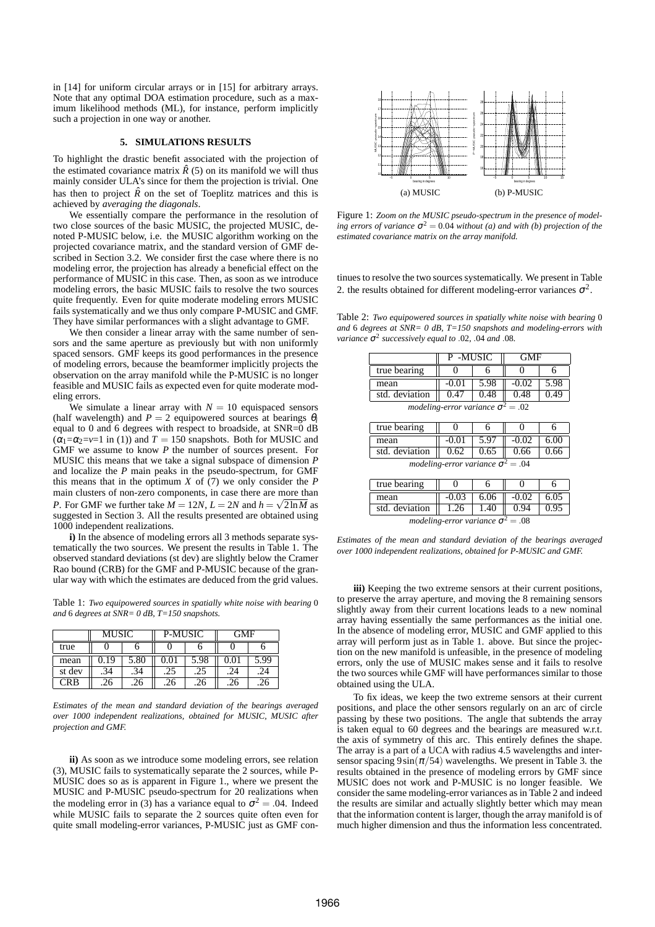in [14] for uniform circular arrays or in [15] for arbitrary arrays. Note that any optimal DOA estimation procedure, such as a maximum likelihood methods (ML), for instance, perform implicitly such a projection in one way or another.

# **5. SIMULATIONS RESULTS**

To highlight the drastic benefit associated with the projection of the estimated covariance matrix  $\hat{R}(5)$  on its manifold we will thus mainly consider ULA's since for them the projection is trivial. One has then to project  $\hat{R}$  on the set of Toeplitz matrices and this is achieved by *averaging the diagonals*.

We essentially compare the performance in the resolution of two close sources of the basic MUSIC, the projected MUSIC, denoted P-MUSIC below, i.e. the MUSIC algorithm working on the projected covariance matrix, and the standard version of GMF described in Section 3.2. We consider first the case where there is no modeling error, the projection has already a beneficial effect on the performance of MUSIC in this case. Then, as soon as we introduce modeling errors, the basic MUSIC fails to resolve the two sources quite frequently. Even for quite moderate modeling errors MUSIC fails systematically and we thus only compare P-MUSIC and GMF. They have similar performances with a slight advantage to GMF.

We then consider a linear array with the same number of sensors and the same aperture as previously but with non uniformly spaced sensors. GMF keeps its good performances in the presence of modeling errors, because the beamformer implicitly projects the observation on the array manifold while the P-MUSIC is no longer feasible and MUSIC fails as expected even for quite moderate modeling errors.

We simulate a linear array with  $N = 10$  equispaced sensors (half wavelength) and  $P = 2$  equipowered sources at bearings  $\theta_i$ equal to 0 and 6 degrees with respect to broadside, at SNR=0 dB  $(\alpha_1 = \alpha_2 = v = 1$  in (1)) and  $T = 150$  snapshots. Both for MUSIC and GMF we assume to know *P* the number of sources present. For MUSIC this means that we take a signal subspace of dimension *P* and localize the *P* main peaks in the pseudo-spectrum, for GMF this means that in the optimum *X* of (7) we only consider the *P* main clusters of non-zero components, in case there are more than *P*. For GMF we further take  $M = 12N$ ,  $L = 2N$  and  $h = \sqrt{2 \ln M}$  as suggested in Section 3. All the results presented are obtained using 1000 independent realizations.

**i)** In the absence of modeling errors all 3 methods separate systematically the two sources. We present the results in Table 1. The observed standard deviations (st dev) are slightly below the Cramer Rao bound (CRB) for the GMF and P-MUSIC because of the granular way with which the estimates are deduced from the grid values.

Table 1: *Two equipowered sources in spatially white noise with bearing* 0 *and* 6 *degrees at SNR= 0 dB, T=150 snapshots.*

|            | <b>MUSIC</b> |      | <b>P-MUSIC</b> |      | GMF |      |
|------------|--------------|------|----------------|------|-----|------|
| true       |              |      |                |      |     |      |
| mean       | 0.19         | 5.80 | 0.01           | 5.98 |     | 5.99 |
| st dev     | .34          | .34  |                | .25  | .24 | .24  |
| <b>CRB</b> | 26           | 26   | 26             | 26   | .26 | .26  |

*Estimates of the mean and standard deviation of the bearings averaged over 1000 independent realizations, obtained for MUSIC, MUSIC after projection and GMF.*

**ii)** As soon as we introduce some modeling errors, see relation (3), MUSIC fails to systematically separate the 2 sources, while P-MUSIC does so as is apparent in Figure 1., where we present the MUSIC and P-MUSIC pseudo-spectrum for 20 realizations when the modeling error in (3) has a variance equal to  $\sigma^2 = .04$ . Indeed while MUSIC fails to separate the 2 sources quite often even for quite small modeling-error variances, P-MUSIC just as GMF con-



Figure 1: *Zoom on the MUSIC pseudo-spectrum in the presence of modeling errors of variance*  $\sigma^2 = 0.04$  *without* (*a*) *and with* (*b*) *projection of the estimated covariance matrix on the array manifold.*

tinues to resolve the two sources systematically. We present in Table 2. the results obtained for different modeling-error variances  $\sigma^2$ .

Table 2: *Two equipowered sources in spatially white noise with bearing* 0 *and* 6 *degrees at SNR= 0 dB, T=150 snapshots and modeling-errors with variance* <sup>σ</sup> 2 *successively equal to* .02*,* .04 *and* .08*.*

|                                          | P-MUSIC |      | GMF     |      |  |
|------------------------------------------|---------|------|---------|------|--|
| true bearing                             |         |      |         |      |  |
| mean                                     | $-0.01$ | 5.98 | $-0.02$ | 5.98 |  |
| std. deviation                           | 0.47    | 0.48 | 0.48    | 0.49 |  |
| modeling-error variance $\sigma^2 = .02$ |         |      |         |      |  |

| true bearing                             |       |      |         |      |  |
|------------------------------------------|-------|------|---------|------|--|
| mean                                     | -0.01 | 5.97 | $-0.02$ | 6.00 |  |
| std. deviation                           | 0.62  | 0.65 | 0.66    | 0.66 |  |
| modeling-error variance $\sigma^2 = .04$ |       |      |         |      |  |

| true bearing                             |         |      |         |      |  |
|------------------------------------------|---------|------|---------|------|--|
| mean                                     | $-0.03$ | 6.06 | $-0.02$ | 6.05 |  |
| std. deviation                           | 1.26    | 1.40 |         |      |  |
| modeling-error variance $\sigma^2 = .08$ |         |      |         |      |  |

*Estimates of the mean and standard deviation of the bearings averaged over 1000 independent realizations, obtained for P-MUSIC and GMF.*

**iii)** Keeping the two extreme sensors at their current positions, to preserve the array aperture, and moving the 8 remaining sensors slightly away from their current locations leads to a new nominal array having essentially the same performances as the initial one. In the absence of modeling error, MUSIC and GMF applied to this array will perform just as in Table 1. above. But since the projection on the new manifold is unfeasible, in the presence of modeling errors, only the use of MUSIC makes sense and it fails to resolve the two sources while GMF will have performances similar to those obtained using the ULA.

To fix ideas, we keep the two extreme sensors at their current positions, and place the other sensors regularly on an arc of circle passing by these two positions. The angle that subtends the array is taken equal to 60 degrees and the bearings are measured w.r.t. the axis of symmetry of this arc. This entirely defines the shape. The array is a part of a UCA with radius 4.5 wavelengths and intersensor spacing  $9\sin(\pi/54)$  wavelengths. We present in Table 3. the results obtained in the presence of modeling errors by GMF since MUSIC does not work and P-MUSIC is no longer feasible. We consider the same modeling-error variances as in Table 2 and indeed the results are similar and actually slightly better which may mean that the information content is larger, though the array manifold is of much higher dimension and thus the information less concentrated.